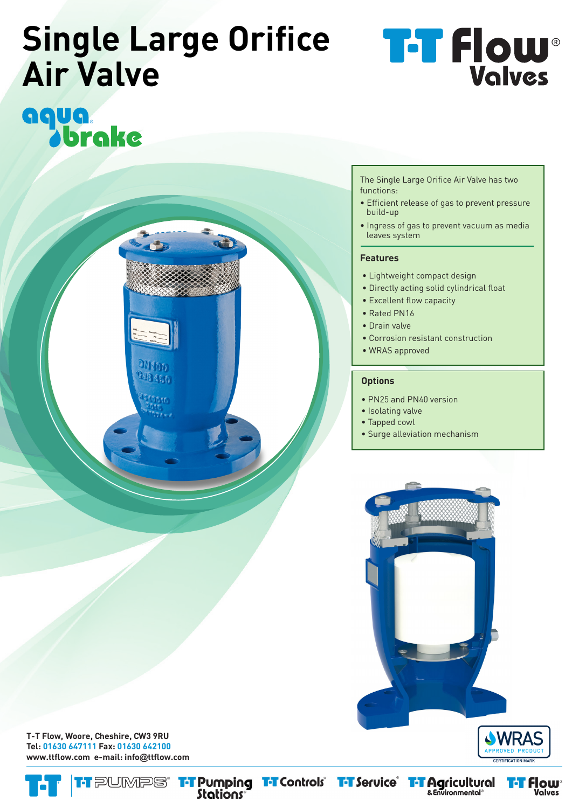## **Single Large Orifice Air Valve**

**DIVISION**  $18/50$ 

# aqua.<br>Jbrake

The Single Large Orifice Air Valve has two functions:

- Efficient release of gas to prevent pressure build-up
- Ingress of gas to prevent vacuum as media leaves system

#### **Features**

- Lightweight compact design
- Directly acting solid cylindrical float
- Excellent flow capacity
- Rated PN16
- Drain valve
- Corrosion resistant construction
- WRAS approved

#### **Options**

- PN25 and PN40 version
- Isolating valve
- Tapped cowl
- Surge alleviation mechanism





**T-T Flow, Woore, Cheshire, CW3 9RU Tel: 01630 647111 Fax: 01630 642100 www.ttflow.com e-mail: info@ttflow.com**



**T-T Pumping T-T Controls** T-T Service T-T Agricultural<br>Stations<sup>®</sup>

**flow** Valves